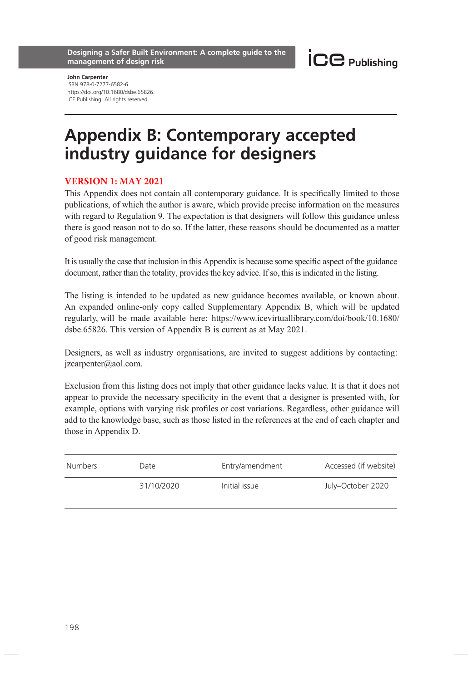John Carpenter ISBN 978-0-7277-6582-6 https://doi.org/10.1680/dsbe.65826. ICE Publishing: All rights reserved

## Appendix B: Contemporary accepted industry guidance for designers

## **VERSION 1: MAY 2021**

This Appendix does not contain all contemporary guidance. It is specifically limited to those publications, of which the author is aware, which provide precise information on the measures with regard to Regulation 9. The expectation is that designers will follow this guidance unless there is good reason not to do so. If the latter, these reasons should be documented as a matter of good risk management.

It is usually the case that inclusion in this Appendix is because some specific aspect of the guidance document, rather than the totality, provides the key advice. If so, this is indicated in the listing.

The listing is intended to be updated as new guidance becomes available, or known about. An expanded online-only copy called Supplementary Appendix B, which will be updated regularly, will be made available here: https://www.icevirtuallibrary.com/doi/book/10.1680/ dsbe.65826. This version of Appendix B is current as at May 2021.

Designers, as well as industry organisations, are invited to suggest additions by contacting: jzcarpenter@aol.com.

Exclusion from this listing does not imply that other guidance lacks value. It is that it does not appear to provide the necessary specificity in the event that a designer is presented with, for example, options with varying risk profiles or cost variations. Regardless, other guidance will add to the knowledge base, such as those listed in the references at the end of each chapter and those in Appendix D.

| Numbers | Date       | Entry/amendment | Accessed (if website) |
|---------|------------|-----------------|-----------------------|
|         | 31/10/2020 | Initial issue   | July-October 2020     |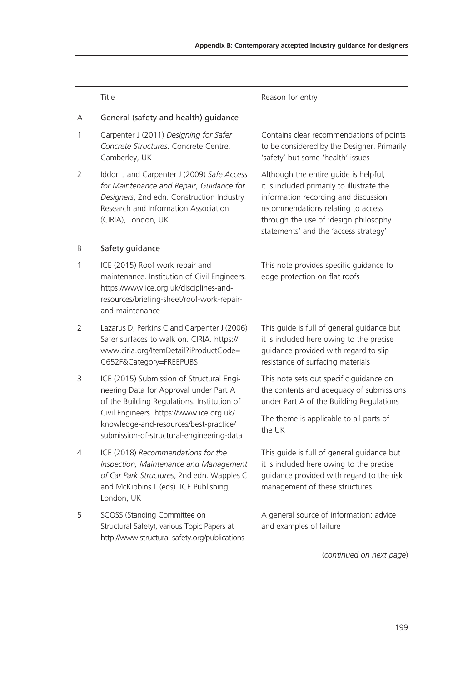|   | Title                                                                                                                                                                                              | Reason for entry                                                                                                                                                                                                                                    |
|---|----------------------------------------------------------------------------------------------------------------------------------------------------------------------------------------------------|-----------------------------------------------------------------------------------------------------------------------------------------------------------------------------------------------------------------------------------------------------|
| А | General (safety and health) guidance                                                                                                                                                               |                                                                                                                                                                                                                                                     |
| 1 | Carpenter J (2011) Designing for Safer<br>Concrete Structures. Concrete Centre.<br>Camberley, UK                                                                                                   | Contains clear recommendations of points<br>to be considered by the Designer. Primarily<br>'safety' but some 'health' issues                                                                                                                        |
| 2 | Iddon J and Carpenter J (2009) Safe Access<br>for Maintenance and Repair, Guidance for<br>Designers, 2nd edn. Construction Industry<br>Research and Information Association<br>(CIRIA), London, UK | Although the entire guide is helpful,<br>it is included primarily to illustrate the<br>information recording and discussion<br>recommendations relating to access<br>through the use of 'design philosophy<br>statements' and the 'access strategy' |
| B | Safety guidance                                                                                                                                                                                    |                                                                                                                                                                                                                                                     |
| 1 | ICE (2015) Roof work repair and<br>maintenance. Institution of Civil Engineers.<br>https://www.ice.org.uk/disciplines-and-<br>resources/briefing-sheet/roof-work-repair-<br>and-maintenance        | This note provides specific guidance to<br>edge protection on flat roofs                                                                                                                                                                            |
| 2 | Lazarus D, Perkins C and Carpenter J (2006)<br>Safer surfaces to walk on. CIRIA. https://<br>www.ciria.org/ItemDetail?iProductCode=<br>C652F&Category=FREEPUBS                                     | This quide is full of general guidance but<br>it is included here owing to the precise<br>guidance provided with regard to slip<br>resistance of surfacing materials                                                                                |
| 3 | ICE (2015) Submission of Structural Engi-<br>neering Data for Approval under Part A<br>of the Building Regulations. Institution of                                                                 | This note sets out specific quidance on<br>the contents and adequacy of submissions<br>under Part A of the Building Regulations                                                                                                                     |
|   | Civil Engineers. https://www.ice.org.uk/<br>knowledge-and-resources/best-practice/<br>submission-of-structural-engineering-data                                                                    | The theme is applicable to all parts of<br>the UK                                                                                                                                                                                                   |
| 4 | ICE (2018) Recommendations for the<br>Inspection, Maintenance and Management<br>of Car Park Structures, 2nd edn. Wapples C<br>and McKibbins L (eds). ICE Publishing,<br>London, UK                 | This guide is full of general guidance but<br>it is included here owing to the precise<br>guidance provided with regard to the risk<br>management of these structures                                                                               |
| 5 | SCOSS (Standing Committee on<br>Structural Safety), various Topic Papers at<br>http://www.structural-safety.org/publications                                                                       | A general source of information: advice<br>and examples of failure                                                                                                                                                                                  |
|   |                                                                                                                                                                                                    | (continued on next page)                                                                                                                                                                                                                            |